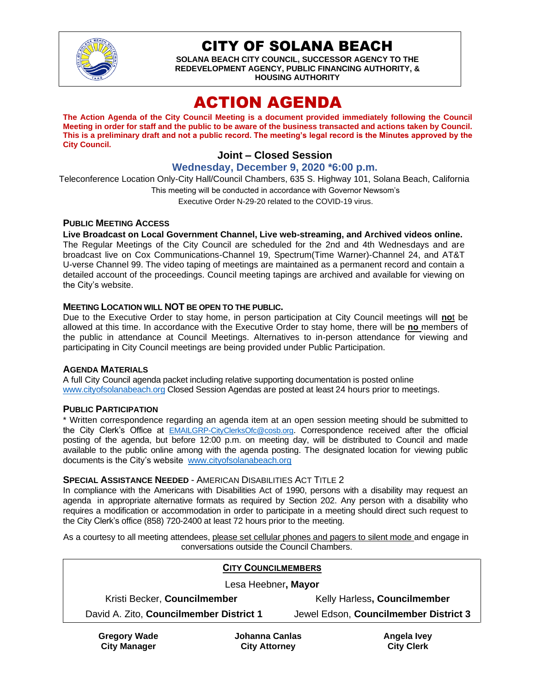

CITY OF SOLANA BEACH

**SOLANA BEACH CITY COUNCIL, SUCCESSOR AGENCY TO THE REDEVELOPMENT AGENCY, PUBLIC FINANCING AUTHORITY, & HOUSING AUTHORITY**

# ACTION AGENDA

**The Action Agenda of the City Council Meeting is a document provided immediately following the Council Meeting in order for staff and the public to be aware of the business transacted and actions taken by Council. This is a preliminary draft and not a public record. The meeting's legal record is the Minutes approved by the City Council.**

# **Joint – Closed Session**

**Wednesday, December 9, 2020 \*6:00 p.m.**

Teleconference Location Only-City Hall/Council Chambers, 635 S. Highway 101, Solana Beach, California This meeting will be conducted in accordance with Governor Newsom's Executive Order N-29-20 related to the COVID-19 virus.

#### **PUBLIC MEETING ACCESS**

**Live Broadcast on Local Government Channel, Live web-streaming, and Archived videos online.**

The Regular Meetings of the City Council are scheduled for the 2nd and 4th Wednesdays and are broadcast live on Cox Communications-Channel 19, Spectrum(Time Warner)-Channel 24, and AT&T U-verse Channel 99. The video taping of meetings are maintained as a permanent record and contain a detailed account of the proceedings. Council meeting tapings are archived and available for viewing on the City's website.

#### **MEETING LOCATION WILL NOT BE OPEN TO THE PUBLIC.**

Due to the Executive Order to stay home, in person participation at City Council meetings will **no**t be allowed at this time. In accordance with the Executive Order to stay home, there will be **no** members of the public in attendance at Council Meetings. Alternatives to in-person attendance for viewing and participating in City Council meetings are being provided under Public Participation.

#### **AGENDA MATERIALS**

A full City Council agenda packet including relative supporting documentation is posted online [www.cityofsolanabeach.org](https://urldefense.proofpoint.com/v2/url?u=http-3A__www.cityofsolanabeach.org&d=DwQFAg&c=euGZstcaTDllvimEN8b7jXrwqOf-v5A_CdpgnVfiiMM&r=1XAsCUuqwK_tji2t0s1uIQ&m=wny2RVfZJ2tN24LkqZmkUWNpwL_peNtTZUBlTBZiMM4&s=6ATguqxJUOD7VVtloplAbyuyNaVcEh6Fl4q1iw55lCY&e=) Closed Session Agendas are posted at least 24 hours prior to meetings.

#### **PUBLIC PARTICIPATION**

\* Written correspondence regarding an agenda item at an open session meeting should be submitted to the City Clerk's Office at [EMAILGRP-CityClerksOfc@cosb.org](mailto:EMAILGRP-CityClerksOfc@cosb.org). Correspondence received after the official posting of the agenda, but before 12:00 p.m. on meeting day, will be distributed to Council and made available to the public online among with the agenda posting. The designated location for viewing public documents is the City's website [www.cityofsolanabeach.org](http://www.cityofsolanabeach.org/)

#### **SPECIAL ASSISTANCE NEEDED** - AMERICAN DISABILITIES ACT TITLE 2

In compliance with the Americans with Disabilities Act of 1990, persons with a disability may request an agenda in appropriate alternative formats as required by Section 202. Any person with a disability who requires a modification or accommodation in order to participate in a meeting should direct such request to the City Clerk's office (858) 720-2400 at least 72 hours prior to the meeting.

As a courtesy to all meeting attendees, please set cellular phones and pagers to silent mode and engage in conversations outside the Council Chambers.

| <b>CITY COUNCILMEMBERS</b>              |                |                                       |             |
|-----------------------------------------|----------------|---------------------------------------|-------------|
| Lesa Heebner, Mayor                     |                |                                       |             |
| Kristi Becker, Councilmember            |                | Kelly Harless, Councilmember          |             |
| David A. Zito, Councilmember District 1 |                | Jewel Edson, Councilmember District 3 |             |
| <b>Gregory Wade</b>                     | Johanna Canlas |                                       | Angela Ivey |

**City Manager**

**City Attorney**

**City Clerk**